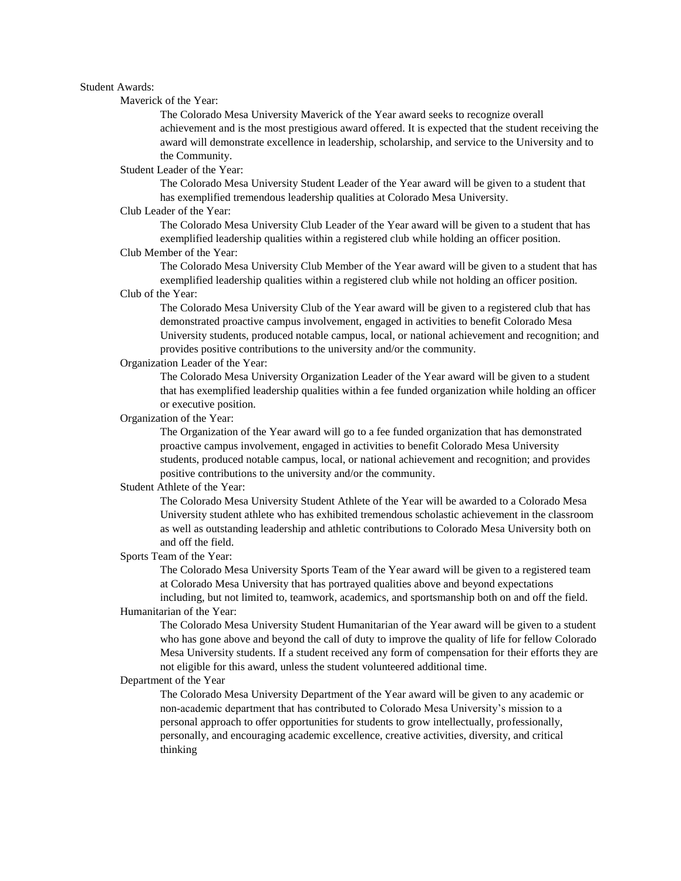## Student Awards:

Maverick of the Year:

The Colorado Mesa University Maverick of the Year award seeks to recognize overall achievement and is the most prestigious award offered. It is expected that the student receiving the award will demonstrate excellence in leadership, scholarship, and service to the University and to the Community.

Student Leader of the Year:

The Colorado Mesa University Student Leader of the Year award will be given to a student that has exemplified tremendous leadership qualities at Colorado Mesa University.

### Club Leader of the Year:

The Colorado Mesa University Club Leader of the Year award will be given to a student that has exemplified leadership qualities within a registered club while holding an officer position.

#### Club Member of the Year:

The Colorado Mesa University Club Member of the Year award will be given to a student that has exemplified leadership qualities within a registered club while not holding an officer position.

# Club of the Year:

The Colorado Mesa University Club of the Year award will be given to a registered club that has demonstrated proactive campus involvement, engaged in activities to benefit Colorado Mesa University students, produced notable campus, local, or national achievement and recognition; and provides positive contributions to the university and/or the community.

# Organization Leader of the Year:

The Colorado Mesa University Organization Leader of the Year award will be given to a student that has exemplified leadership qualities within a fee funded organization while holding an officer or executive position.

#### Organization of the Year:

The Organization of the Year award will go to a fee funded organization that has demonstrated proactive campus involvement, engaged in activities to benefit Colorado Mesa University students, produced notable campus, local, or national achievement and recognition; and provides positive contributions to the university and/or the community.

### Student Athlete of the Year:

The Colorado Mesa University Student Athlete of the Year will be awarded to a Colorado Mesa University student athlete who has exhibited tremendous scholastic achievement in the classroom as well as outstanding leadership and athletic contributions to Colorado Mesa University both on and off the field.

### Sports Team of the Year:

The Colorado Mesa University Sports Team of the Year award will be given to a registered team at Colorado Mesa University that has portrayed qualities above and beyond expectations including, but not limited to, teamwork, academics, and sportsmanship both on and off the field.

#### Humanitarian of the Year:

The Colorado Mesa University Student Humanitarian of the Year award will be given to a student who has gone above and beyond the call of duty to improve the quality of life for fellow Colorado Mesa University students. If a student received any form of compensation for their efforts they are not eligible for this award, unless the student volunteered additional time.

#### Department of the Year

The Colorado Mesa University Department of the Year award will be given to any academic or non-academic department that has contributed to Colorado Mesa University's mission to a personal approach to offer opportunities for students to grow intellectually, professionally, personally, and encouraging academic excellence, creative activities, diversity, and critical thinking